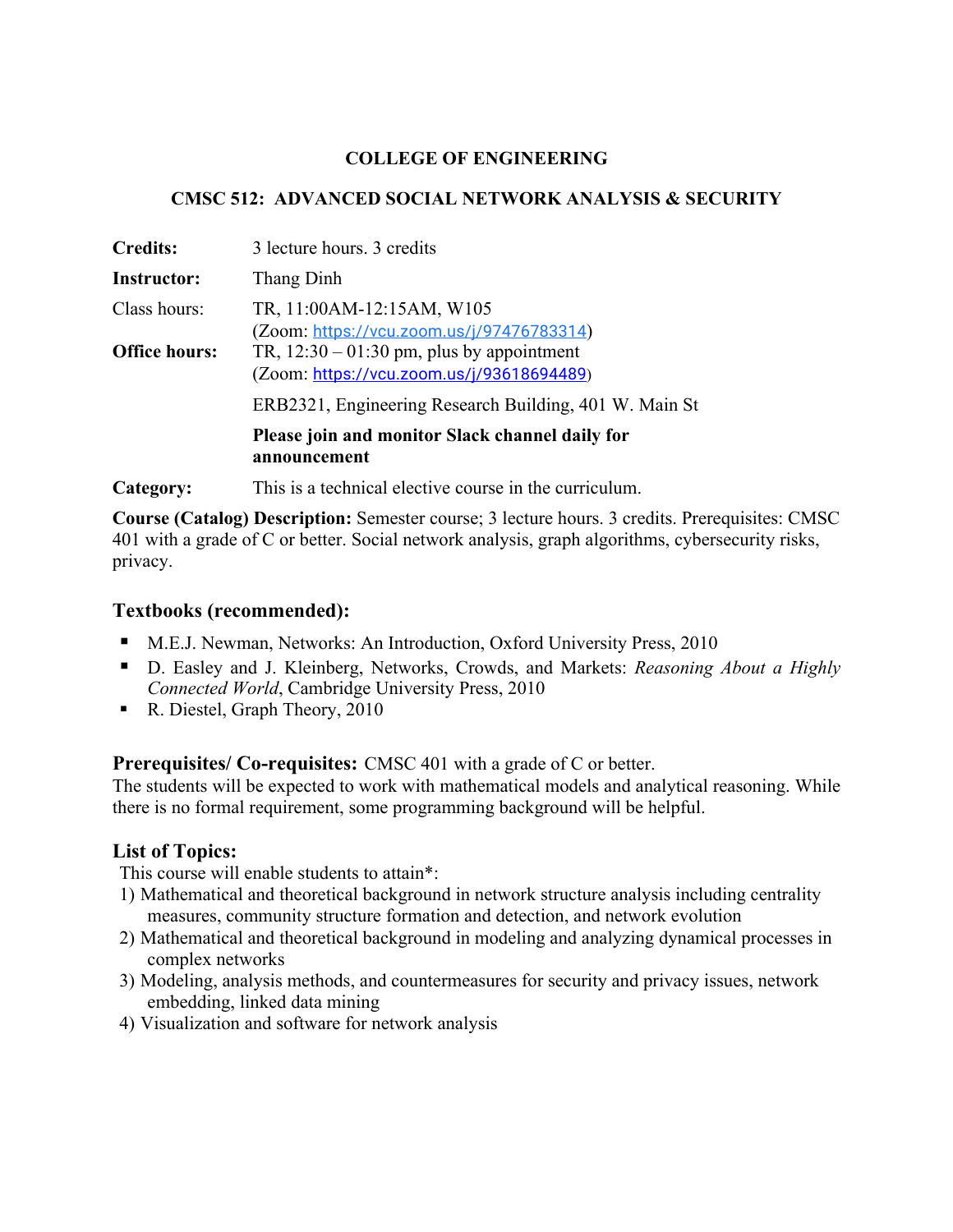## **COLLEGE OF ENGINEERING**

## **CMSC 512: ADVANCED SOCIAL NETWORK ANALYSIS & SECURITY**

| <b>Credits:</b>      | 3 lecture hours. 3 credits                                                               |
|----------------------|------------------------------------------------------------------------------------------|
| <b>Instructor:</b>   | Thang Dinh                                                                               |
| Class hours:         | TR, 11:00AM-12:15AM, W105<br>(Zoom: https://vcu.zoom.us/j/97476783314)                   |
| <b>Office hours:</b> | TR, $12:30 - 01:30$ pm, plus by appointment<br>(Zoom: https://vcu.zoom.us/j/93618694489) |
|                      | ERB2321, Engineering Research Building, 401 W. Main St                                   |
|                      | Please join and monitor Slack channel daily for<br>announcement                          |
|                      |                                                                                          |

**Category:** This is a technical elective course in the curriculum.

**Course (Catalog) Description:** Semester course; 3 lecture hours. 3 credits. Prerequisites: CMSC 401 with a grade of C or better. Social network analysis, graph algorithms, cybersecurity risks, privacy.

## **Textbooks (recommended):**

- M.E.J. Newman, Networks: An Introduction, Oxford University Press, 2010
- D. Easley and J. Kleinberg, Networks, Crowds, and Markets: *Reasoning About a Highly Connected World*, Cambridge University Press, 2010
- § R. Diestel, Graph Theory, 2010

**Prerequisites/ Co-requisites:** CMSC 401 with a grade of C or better.

The students will be expected to work with mathematical models and analytical reasoning. While there is no formal requirement, some programming background will be helpful.

# **List of Topics:**

This course will enable students to attain\*:

- 1) Mathematical and theoretical background in network structure analysis including centrality measures, community structure formation and detection, and network evolution
- 2) Mathematical and theoretical background in modeling and analyzing dynamical processes in complex networks
- 3) Modeling, analysis methods, and countermeasures for security and privacy issues, network embedding, linked data mining
- 4) Visualization and software for network analysis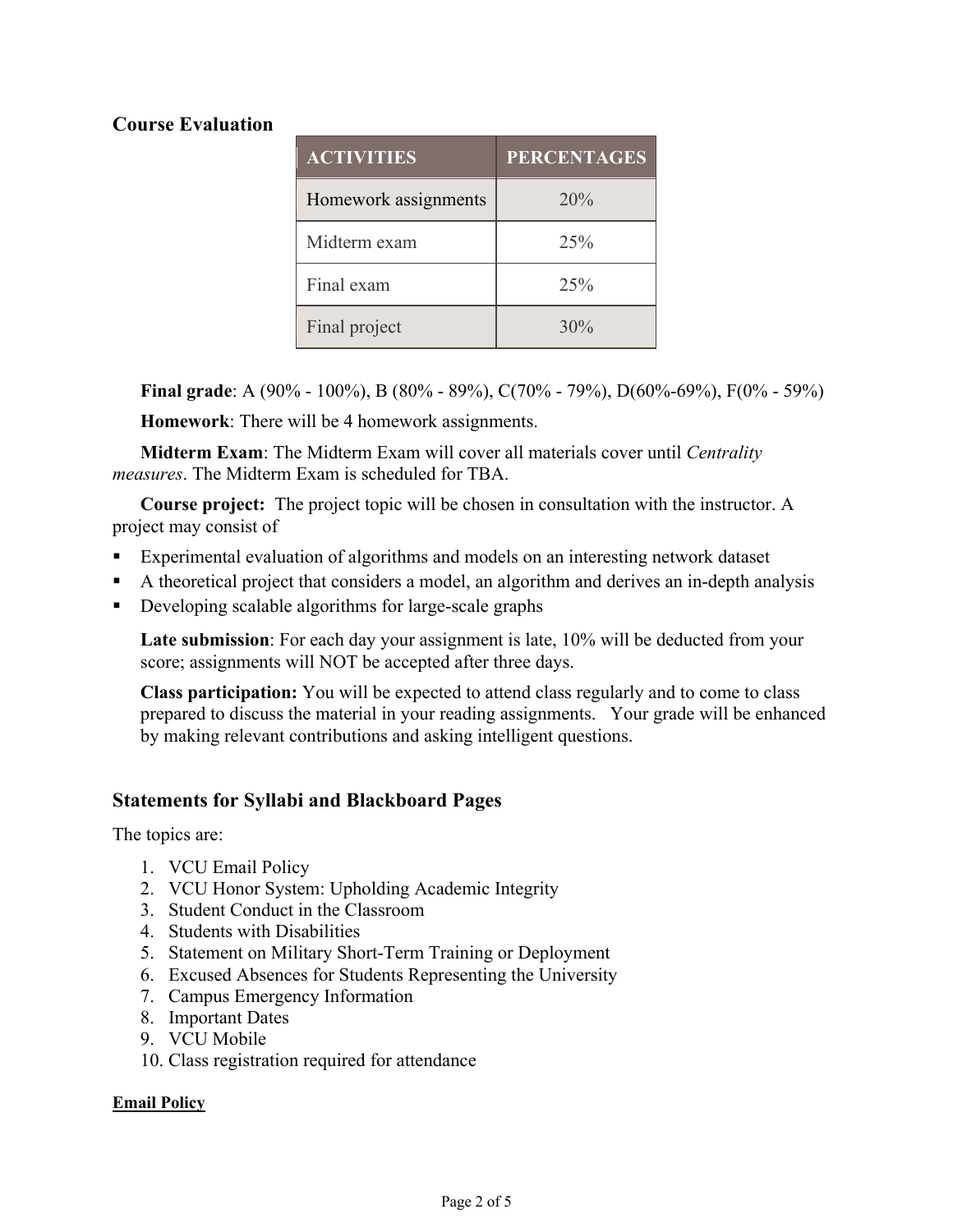# **Course Evaluation**

| <b>ACTIVITIES</b>    | <b>PERCENTAGES</b> |
|----------------------|--------------------|
| Homework assignments | 20%                |
| Midterm exam         | 25%                |
| Final exam           | 25%                |
| Final project        | 30%                |

**Final grade**: A (90% - 100%), B (80% - 89%), C(70% - 79%), D(60%-69%), F(0% - 59%)

**Homework**: There will be 4 homework assignments.

**Midterm Exam**: The Midterm Exam will cover all materials cover until *Centrality measures*. The Midterm Exam is scheduled for TBA.

**Course project:** The project topic will be chosen in consultation with the instructor. A project may consist of

- Experimental evaluation of algorithms and models on an interesting network dataset
- § A theoretical project that considers a model, an algorithm and derives an in-depth analysis
- Developing scalable algorithms for large-scale graphs

**Late submission**: For each day your assignment is late, 10% will be deducted from your score; assignments will NOT be accepted after three days.

**Class participation:** You will be expected to attend class regularly and to come to class prepared to discuss the material in your reading assignments. Your grade will be enhanced by making relevant contributions and asking intelligent questions.

# **Statements for Syllabi and Blackboard Pages**

The topics are:

- 1. VCU Email Policy
- 2. VCU Honor System: Upholding Academic Integrity
- 3. Student Conduct in the Classroom
- 4. Students with Disabilities
- 5. Statement on Military Short-Term Training or Deployment
- 6. Excused Absences for Students Representing the University
- 7. Campus Emergency Information
- 8. Important Dates
- 9. VCU Mobile
- 10. Class registration required for attendance

## **Email Policy**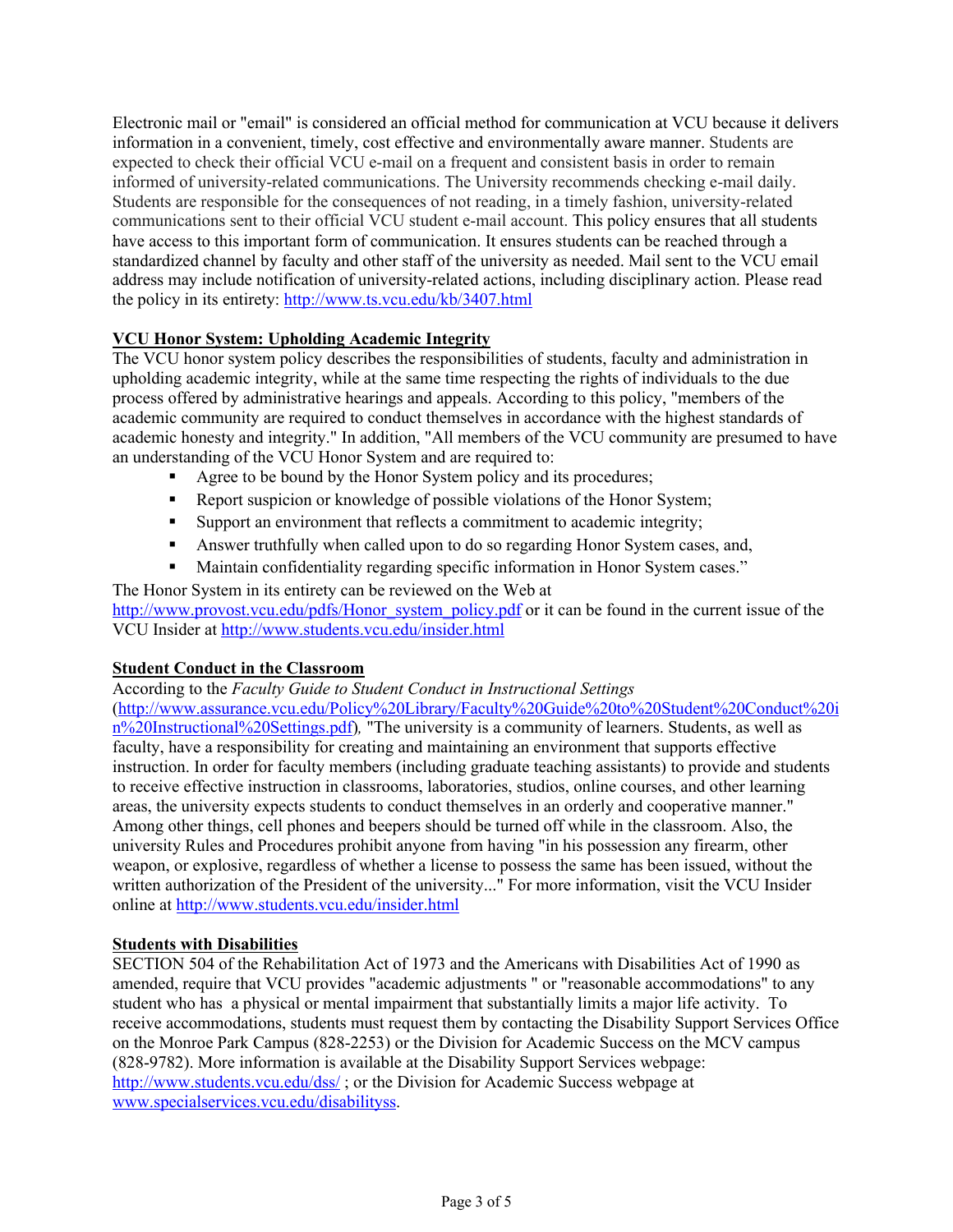Electronic mail or "email" is considered an official method for communication at VCU because it delivers information in a convenient, timely, cost effective and environmentally aware manner. Students are expected to check their official VCU e-mail on a frequent and consistent basis in order to remain informed of university-related communications. The University recommends checking e-mail daily. Students are responsible for the consequences of not reading, in a timely fashion, university-related communications sent to their official VCU student e-mail account. This policy ensures that all students have access to this important form of communication. It ensures students can be reached through a standardized channel by faculty and other staff of the university as needed. Mail sent to the VCU email address may include notification of university-related actions, including disciplinary action. Please read the policy in its entirety: http://www.ts.vcu.edu/kb/3407.html

## **VCU Honor System: Upholding Academic Integrity**

The VCU honor system policy describes the responsibilities of students, faculty and administration in upholding academic integrity, while at the same time respecting the rights of individuals to the due process offered by administrative hearings and appeals. According to this policy, "members of the academic community are required to conduct themselves in accordance with the highest standards of academic honesty and integrity." In addition, "All members of the VCU community are presumed to have an understanding of the VCU Honor System and are required to:

- Agree to be bound by the Honor System policy and its procedures;
- Report suspicion or knowledge of possible violations of the Honor System;
- Support an environment that reflects a commitment to academic integrity;
- § Answer truthfully when called upon to do so regarding Honor System cases, and,
- Maintain confidentiality regarding specific information in Honor System cases."

The Honor System in its entirety can be reviewed on the Web at http://www.provost.vcu.edu/pdfs/Honor\_system\_policy.pdf or it can be found in the current issue of the VCU Insider at http://www.students.vcu.edu/insider.html

## **Student Conduct in the Classroom**

According to the *Faculty Guide to Student Conduct in Instructional Settings*  (http://www.assurance.vcu.edu/Policy%20Library/Faculty%20Guide%20to%20Student%20Conduct%20i n%20Instructional%20Settings.pdf)*,* "The university is a community of learners. Students, as well as faculty, have a responsibility for creating and maintaining an environment that supports effective instruction. In order for faculty members (including graduate teaching assistants) to provide and students to receive effective instruction in classrooms, laboratories, studios, online courses, and other learning areas, the university expects students to conduct themselves in an orderly and cooperative manner." Among other things, cell phones and beepers should be turned off while in the classroom. Also, the university Rules and Procedures prohibit anyone from having "in his possession any firearm, other weapon, or explosive, regardless of whether a license to possess the same has been issued, without the written authorization of the President of the university..." For more information, visit the VCU Insider online at http://www.students.vcu.edu/insider.html

## **Students with Disabilities**

SECTION 504 of the Rehabilitation Act of 1973 and the Americans with Disabilities Act of 1990 as amended, require that VCU provides "academic adjustments " or "reasonable accommodations" to any student who has a physical or mental impairment that substantially limits a major life activity. To receive accommodations, students must request them by contacting the Disability Support Services Office on the Monroe Park Campus (828-2253) or the Division for Academic Success on the MCV campus (828-9782). More information is available at the Disability Support Services webpage: http://www.students.vcu.edu/dss/; or the Division for Academic Success webpage at www.specialservices.vcu.edu/disabilityss.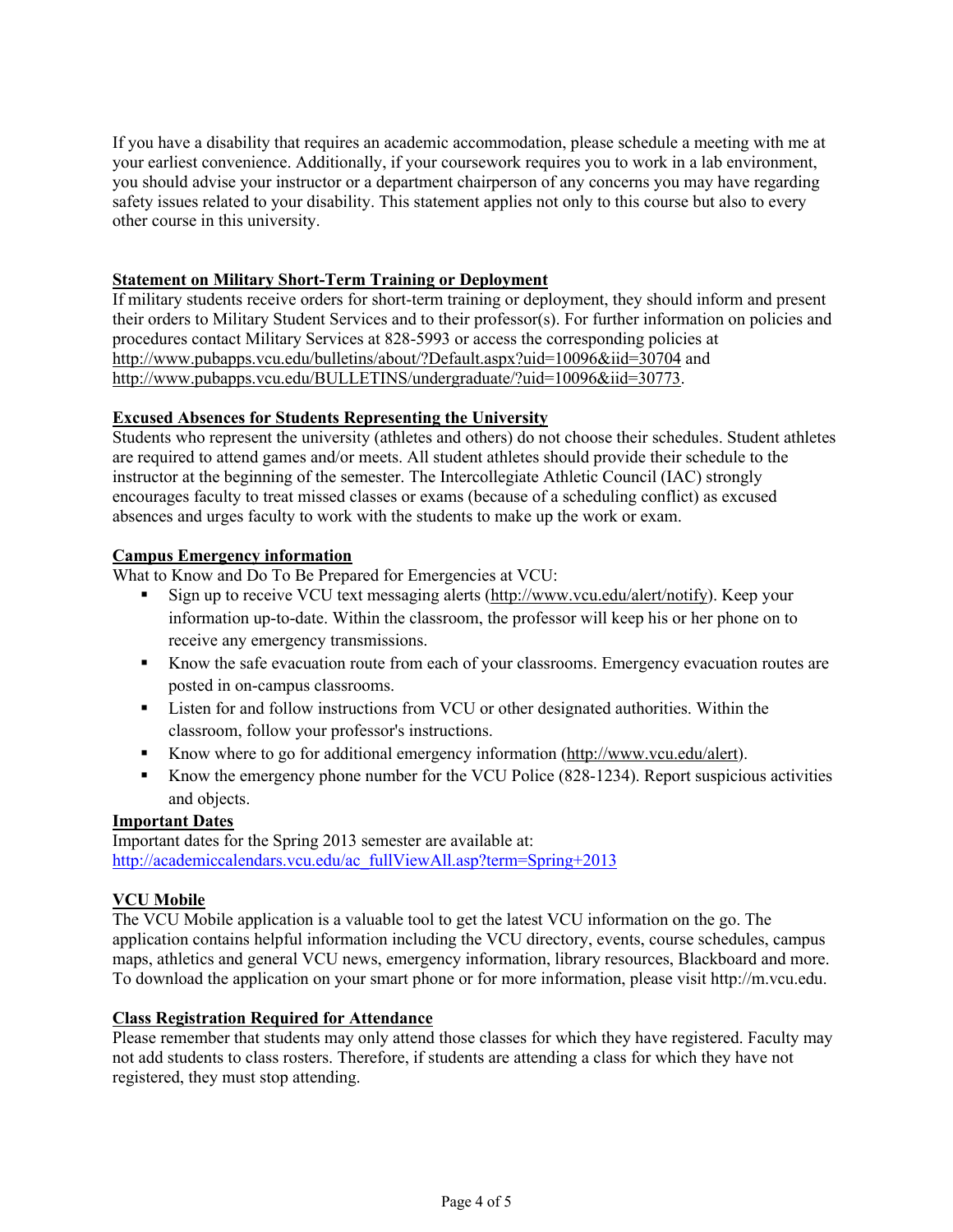If you have a disability that requires an academic accommodation, please schedule a meeting with me at your earliest convenience. Additionally, if your coursework requires you to work in a lab environment, you should advise your instructor or a department chairperson of any concerns you may have regarding safety issues related to your disability. This statement applies not only to this course but also to every other course in this university.

#### **Statement on Military Short-Term Training or Deployment**

If military students receive orders for short-term training or deployment, they should inform and present their orders to Military Student Services and to their professor(s). For further information on policies and procedures contact Military Services at 828-5993 or access the corresponding policies at http://www.pubapps.vcu.edu/bulletins/about/?Default.aspx?uid=10096&iid=30704 and http://www.pubapps.vcu.edu/BULLETINS/undergraduate/?uid=10096&iid=30773.

#### **Excused Absences for Students Representing the University**

Students who represent the university (athletes and others) do not choose their schedules. Student athletes are required to attend games and/or meets. All student athletes should provide their schedule to the instructor at the beginning of the semester. The Intercollegiate Athletic Council (IAC) strongly encourages faculty to treat missed classes or exams (because of a scheduling conflict) as excused absences and urges faculty to work with the students to make up the work or exam.

#### **Campus Emergency information**

What to Know and Do To Be Prepared for Emergencies at VCU:

- Sign up to receive VCU text messaging alerts (http://www.vcu.edu/alert/notify). Keep your information up-to-date. Within the classroom, the professor will keep his or her phone on to receive any emergency transmissions.
- § Know the safe evacuation route from each of your classrooms. Emergency evacuation routes are posted in on-campus classrooms.
- Listen for and follow instructions from VCU or other designated authorities. Within the classroom, follow your professor's instructions.
- Know where to go for additional emergency information (http://www.vcu.edu/alert).
- Know the emergency phone number for the VCU Police (828-1234). Report suspicious activities and objects.

### **Important Dates**

Important dates for the Spring 2013 semester are available at: http://academiccalendars.vcu.edu/ac\_fullViewAll.asp?term=Spring+2013

#### **VCU Mobile**

The VCU Mobile application is a valuable tool to get the latest VCU information on the go. The application contains helpful information including the VCU directory, events, course schedules, campus maps, athletics and general VCU news, emergency information, library resources, Blackboard and more. To download the application on your smart phone or for more information, please visit http://m.vcu.edu.

#### **Class Registration Required for Attendance**

Please remember that students may only attend those classes for which they have registered. Faculty may not add students to class rosters. Therefore, if students are attending a class for which they have not registered, they must stop attending.